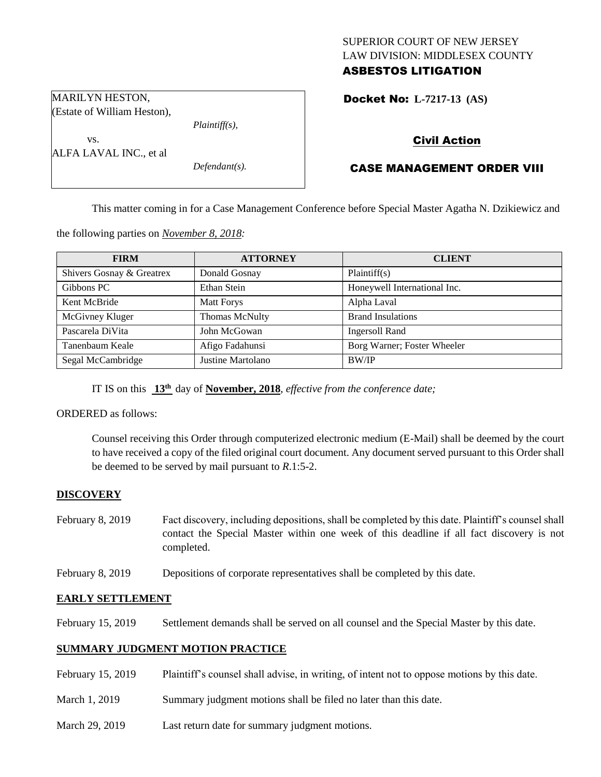## SUPERIOR COURT OF NEW JERSEY LAW DIVISION: MIDDLESEX COUNTY ASBESTOS LITIGATION

Docket No: **L-7217-13 (AS)** 

*Plaintiff(s),*

*Defendant(s).*

## Civil Action

# CASE MANAGEMENT ORDER VIII

This matter coming in for a Case Management Conference before Special Master Agatha N. Dzikiewicz and

the following parties on *November 8, 2018:*

| <b>FIRM</b>               | <b>ATTORNEY</b>   | <b>CLIENT</b>                |
|---------------------------|-------------------|------------------------------|
| Shivers Gosnay & Greatrex | Donald Gosnay     | Plaintiff(s)                 |
| Gibbons PC                | Ethan Stein       | Honeywell International Inc. |
| Kent McBride              | Matt Forys        | Alpha Laval                  |
| McGivney Kluger           | Thomas McNulty    | <b>Brand Insulations</b>     |
| Pascarela DiVita          | John McGowan      | <b>Ingersoll Rand</b>        |
| Tanenbaum Keale           | Afigo Fadahunsi   | Borg Warner; Foster Wheeler  |
| Segal McCambridge         | Justine Martolano | BW/IP                        |

IT IS on this  $13<sup>th</sup>$  day of **November, 2018**, *effective from the conference date*;

ORDERED as follows:

MARILYN HESTON, (Estate of William Heston),

vs.

ALFA LAVAL INC., et al

Counsel receiving this Order through computerized electronic medium (E-Mail) shall be deemed by the court to have received a copy of the filed original court document. Any document served pursuant to this Order shall be deemed to be served by mail pursuant to *R*.1:5-2.

## **DISCOVERY**

- February 8, 2019 Fact discovery, including depositions, shall be completed by this date. Plaintiff's counsel shall contact the Special Master within one week of this deadline if all fact discovery is not completed.
- February 8, 2019 Depositions of corporate representatives shall be completed by this date.

### **EARLY SETTLEMENT**

February 15, 2019 Settlement demands shall be served on all counsel and the Special Master by this date.

### **SUMMARY JUDGMENT MOTION PRACTICE**

- February 15, 2019 Plaintiff's counsel shall advise, in writing, of intent not to oppose motions by this date.
- March 1, 2019 Summary judgment motions shall be filed no later than this date.
- March 29, 2019 Last return date for summary judgment motions.